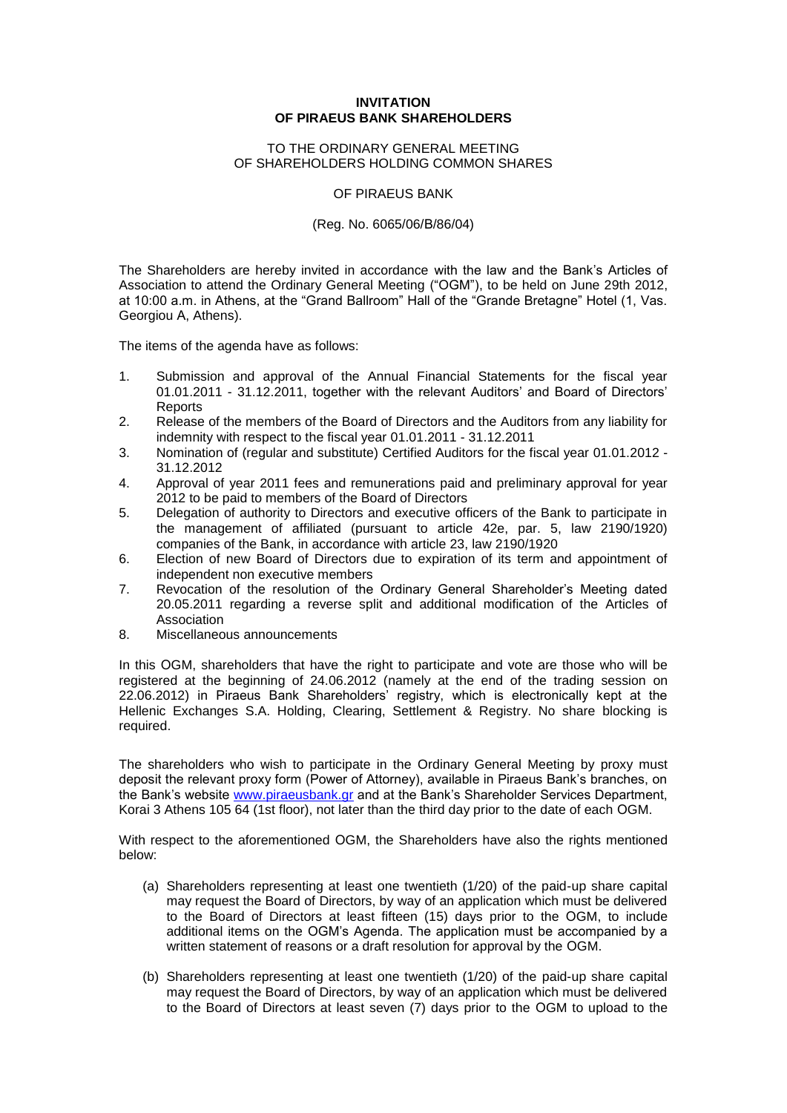## **INVITATION OF PIRAEUS BANK SHAREHOLDERS**

## TO THE ORDINARY GENERAL MEETING OF SHAREHOLDERS HOLDING COMMON SHARES

OF PIRAEUS BANK

## (Reg. No. 6065/06/Β/86/04)

The Shareholders are hereby invited in accordance with the law and the Bank's Articles of Association to attend the Ordinary General Meeting ("OGM"), to be held on June 29th 2012, at 10:00 a.m. in Athens, at the "Grand Ballroom" Hall of the "Grande Bretagne" Hotel (1, Vas. Georgiou Α, Athens).

The items of the agenda have as follows:

- 1. Submission and approval of the Annual Financial Statements for the fiscal year 01.01.2011 - 31.12.2011, together with the relevant Auditors' and Board of Directors' Reports
- 2. Release of the members of the Board of Directors and the Auditors from any liability for indemnity with respect to the fiscal year 01.01.2011 - 31.12.2011
- 3. Nomination of (regular and substitute) Certified Auditors for the fiscal year 01.01.2012 31.12.2012
- 4. Approval of year 2011 fees and remunerations paid and preliminary approval for year 2012 to be paid to members of the Board of Directors
- 5. Delegation of authority to Directors and executive officers of the Bank to participate in the management of affiliated (pursuant to article 42e, par. 5, law 2190/1920) companies of the Bank, in accordance with article 23, law 2190/1920
- 6. Election of new Board of Directors due to expiration of its term and appointment of independent non executive members
- 7. Revocation of the resolution of the Ordinary General Shareholder's Meeting dated 20.05.2011 regarding a reverse split and additional modification of the Articles of Association
- 8. Miscellaneous announcements

In this OGM, shareholders that have the right to participate and vote are those who will be registered at the beginning of 24.06.2012 (namely at the end of the trading session on 22.06.2012) in Piraeus Bank Shareholders' registry, which is electronically kept at the Hellenic Exchanges S.A. Holding, Clearing, Settlement & Registry. No share blocking is required.

The shareholders who wish to participate in the Ordinary General Meeting by proxy must deposit the relevant proxy form (Power of Attorney), available in Piraeus Bank's branches, on the Bank's website [www.piraeusbank.gr](http://www.piraeusbank.gr/) and at the Bank's Shareholder Services Department, Korai 3 Athens 105 64 (1st floor), not later than the third day prior to the date of each ΟGM.

With respect to the aforementioned ΟGM, the Shareholders have also the rights mentioned below:

- (a) Shareholders representing at least one twentieth (1/20) of the paid-up share capital may request the Board of Directors, by way of an application which must be delivered to the Board of Directors at least fifteen (15) days prior to the ΟGM, to include additional items on the ΟGM's Agenda. The application must be accompanied by a written statement of reasons or a draft resolution for approval by the ΟGM.
- (b) Shareholders representing at least one twentieth (1/20) of the paid-up share capital may request the Board of Directors, by way of an application which must be delivered to the Board of Directors at least seven (7) days prior to the ΟGM to upload to the